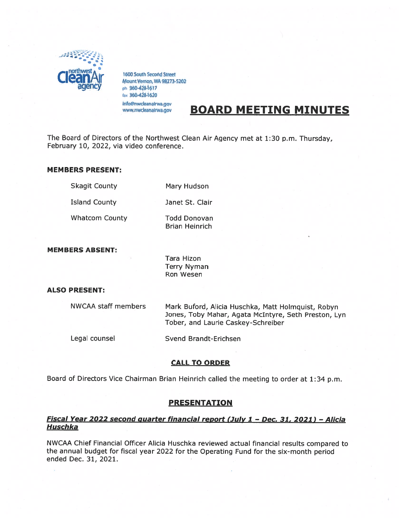

1600 South Second Street<br>Mount Vernon, WA 98273-5202<br>ph 360-428-1617 fax 360-428-1620

# info@nwcleanairwa.gov BOARD MEETING MINUTES

The Board of Directors of the Northwest Clean Air Agency met at 1:30 p.m. Thursday, February 10, 2022, via video conference.

#### MEMBERS PRESENT:

Skagit County Mary Hudson

Island County Janet St. Clair

Whatcom County Todd Donovan

Brian Heinrich

# MEMBERS ABSENT:

Tara Hizon Terry Nyman Ron Wesen

# ALSO PRESENT:

NWCAA staff members Mark Buford, Alicia Huschka, Matt Holmquist, Robyn Jones, Toby Mahar, Agata McIntyre, Seth Preston, Lyn Tober, and Laurie Caskey-Schreiber

Legal counsel Svend Brandt-Erichsen

# CALL TO ORDER

Board of Directors Vice Chairman Brian Heinrich called the meeting to order at 1:34 p.m.

# PRESENTATION

# Fiscal Year 2022 second quarter financial report (July 1 - Dec. 31, 2021) - Alicia **Huschka**

NWCAA Chief Financial Officer Alicia Huschka reviewed actual financial results compare<sup>d</sup> to the annual budget for fiscal year <sup>2022</sup> for the Operating Fund for the six-month period ended Dec. 31, 2021.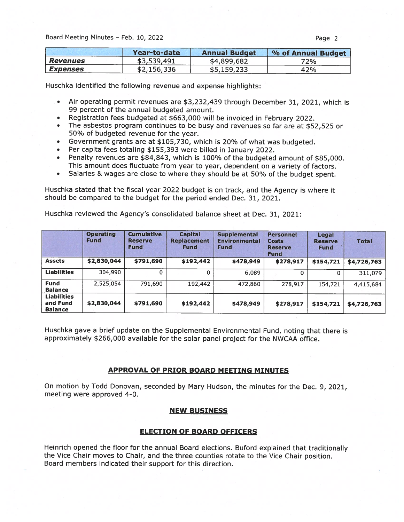|                        | Year-to-date | <b>Annual Budget</b> | % of Annual Budget |
|------------------------|--------------|----------------------|--------------------|
| <b>Revenues</b>        | \$3,539,491  | \$4,899,682          | 72%                |
| <i><b>Expenses</b></i> | \$2,156,336  | \$5,159,233          | 42%                |

Huschka identified the following revenue and expense highlights:

- • Air operating permit revenues are \$3,232,439 through December 31, 2021, which is 99 percen<sup>t</sup> of the annual budgeted amount.
- Registration fees budgeted at \$663,000 will be invoiced in February 2022.
- • The asbestos program continues to be busy and revenues so far are at \$52,525 or 50% of budgeted revenue for the year.
- •Government grants are at \$105,730, which is 2O% of what was budgeted.
- •Per capita fees totaling \$155,393 were billed in January 2022.
- Penalty revenues are \$84,843, which is 100% of the budgeted amount of \$85,000. This amount does fluctuate from year to year, dependent on <sup>a</sup> variety of factors.
- •Salaries & wages are close to where they should be at 50% of the budget spent.

Huschka stated that the fiscal year <sup>2022</sup> budget is on track, and the Agency is where it should be compared to the budget for the period ended Dec. 31, 2021.

Huschka reviewed the Agency's consolidated balance sheet at Dec. 31, 2021:

|                                                  | <b>Operating</b><br><b>Fund</b> | <b>Cumulative</b><br><b>Reserve</b><br><b>Fund</b> | <b>Capital</b><br><b>Replacement</b><br><b>Fund</b> | <b>Supplemental</b><br><b>Environmental</b><br><b>Fund</b> | <b>Personnel</b><br><b>Costs</b><br><b>Reserve</b><br><b>Fund</b> | Legal<br><b>Reserve</b><br><b>Fund</b> | <b>Total</b> |
|--------------------------------------------------|---------------------------------|----------------------------------------------------|-----------------------------------------------------|------------------------------------------------------------|-------------------------------------------------------------------|----------------------------------------|--------------|
| <b>Assets</b>                                    | \$2,830,044                     | \$791,690                                          | \$192,442                                           | \$478,949                                                  | \$278,917                                                         | \$154,721                              | \$4,726,763  |
| <b>Liabilities</b>                               | 304,990                         | 0                                                  | $\Omega$                                            | 6,089                                                      | o                                                                 | 0                                      | 311,079      |
| <b>Fund</b><br><b>Balance</b>                    | 2,525,054                       | 791,690                                            | 192,442                                             | 472,860                                                    | 278,917                                                           | 154,721                                | 4,415,684    |
| <b>Liabilities</b><br>and Fund<br><b>Balance</b> | \$2,830,044                     | \$791,690                                          | \$192,442                                           | \$478,949                                                  | \$278,917                                                         | \$154,721                              | \$4,726,763  |

Huschka gave <sup>a</sup> brief update on the Supplemental Environmental Fund, noting that there is approximately \$266,000 available for the solar pane<sup>l</sup> project for the NWCAA office.

#### APPROVAL OF PRIOR BOARD MEETING MINUTES

On motion by Todd Donovan, seconded by Mary Hudson, the minutes for the Dec. 9, 2021, meeting were approved 4-0.

#### NEW BUSINESS

#### ELECTION OF BOARD OFFICERS

Heinrich opene<sup>d</sup> the floor for the annual Board elections. Buford explained that traditionally the Vice Chair moves to Chair, and the three counties rotate to the Vice Chair position. Board members indicated their suppor<sup>t</sup> for this direction.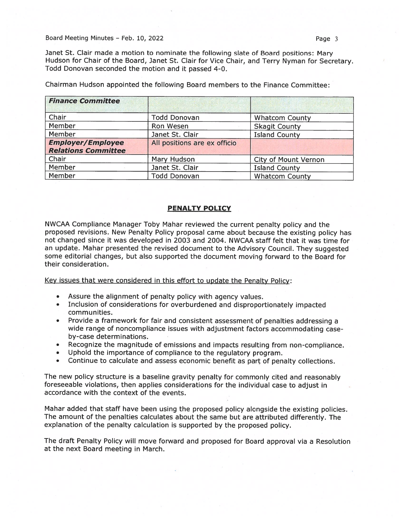Janet St. Clair made <sup>a</sup> motion to nominate the following slate of Board positions: Mary Hudson for Chair of the Board, Janet St. Clair for Vice Chair, and Terry Nyman for Secretary. Todd Donovan seconded the motion and it passed 4-0.

| <b>Finance Committee</b>                               |                              |                             |  |
|--------------------------------------------------------|------------------------------|-----------------------------|--|
| Chair                                                  | <b>Todd Donovan</b>          | <b>Whatcom County</b>       |  |
| Member                                                 | Ron Wesen                    | <b>Skagit County</b>        |  |
| Member                                                 | Janet St. Clair              | <b>Island County</b>        |  |
| <b>Employer/Employee</b><br><b>Relations Committee</b> | All positions are ex officio |                             |  |
| Chair                                                  | Mary Hudson                  | <b>City of Mount Vernon</b> |  |
| Member                                                 | Janet St. Clair              | <b>Island County</b>        |  |
| Member                                                 | <b>Todd Donovan</b>          | <b>Whatcom County</b>       |  |

Chairman Hudson appointed the following Board members to the Finance Committee:

#### PENALTY POLICY

NWCAA Compliance Manager Toby Mahar reviewed the current penalty policy and the propose<sup>d</sup> revisions. New Penalty Policy proposa<sup>l</sup> came about because the existing policy has not changed since it was developed in 2003 and 2004. NWCAA staff felt that it was time for an update. Mahar presented the revised document to the Advisory Council. They suggested some editorial changes, but also supported the document moving forward to the Board for their consideration.

Key issues that were considered in this effort to update the Penalty Policy:

- •Assure the alignment of penalty policy with agency values.
- Inclusion of considerations for overburdened and disproportionately impacted communities.
- • Provide <sup>a</sup> framework for fair and consistent assessment of penalties addressing <sup>a</sup> wide range of noncompliance issues with adjustment factors accommodating caseby-case determinations.
- Recognize the magnitude of emissions and impacts resulting from non-compliance.
- Uphold the importance of compliance to the regulatory program.
- Continue to calculate and assess economic benefit as par<sup>t</sup> of penalty collections.

The new policy structure is <sup>a</sup> baseline gravity penalty for commonly cited and reasonably foreseeable violations, then applies considerations for the individual case to adjust in accordance with the context of the events.

Mahar added that staff have been using the propose<sup>d</sup> policy alongside the existing policies. The amount of the penalties calculates about the same but are attributed differently. The explanation of the penalty calculation is supported by the propose<sup>d</sup> policy.

The draft Penalty Policy will move forward and propose<sup>d</sup> for Board approva<sup>l</sup> via <sup>a</sup> Resolution at the next Board meeting in March.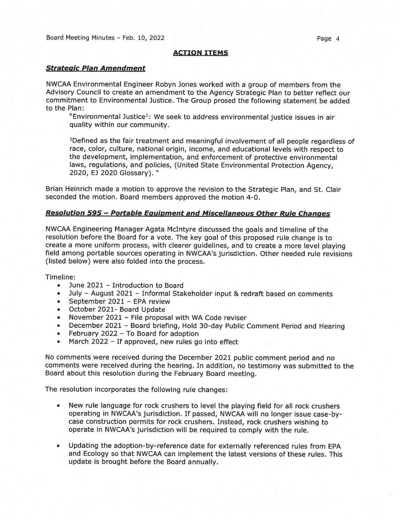#### ACTION ITEMS

#### Strategic Plan Amendment

NWCAA Environmental Engineer Robyn Jones worked with <sup>a</sup> group of members from the Advisory Council to create an amendment to the Agency Strategic Plan to better reflect our commitment to Environmental Justice. The Group prosed the following statement be added to the Plan:

 $"$ Environmental Justice<sup>1</sup>: We seek to address environmental justice issues in air quality within our community.

'Defined as the fair treatment and meaningful involvement of all people regardless of race, color, culture, national origin, income, and educational levels with respec<sup>t</sup> to the development, implementation, and enforcement of protective environmental laws, regulations, and policies, (United State Environmental Protection Agency, 2020, EJ 2020 Glossary)."

Brian Heinrich made <sup>a</sup> motion to approve the revision to the Strategic Plan, and St. Clair seconded the motion. Board members approved the motion 4-0.

#### Resolution 595 — Portable Equipment and Miscellaneous Other Rule Chanaes

NWCAA Engineering Manager Agata McIntyre discussed the goals and timeline of the resolution before the Board for <sup>a</sup> vote. The key goa<sup>l</sup> of this propose<sup>d</sup> rule change is to create <sup>a</sup> more uniform process, with clearer guidelines, and to create <sup>a</sup> more level <sup>p</sup>laying field among portable sources operating in NWCAA's jurisdiction. Other needed rule revisions (listed below) were also folded into the process.

Timeline:

- •June 2021 — Introduction to Board
- July August 2021 Informal Stakeholder input & redraft based on comments
- •September 2021 — EPA review
- October 2021- Board Update
- •November 2021 — File proposal with WA Code reviser
- December <sup>2021</sup> Board briefing, Hold 30-day Public Comment Period and Hearing
- •February 2022 — To Board for adoption
- •March 2022 — If approved, new rules go into effect

No comments were received during the December <sup>2021</sup> public comment period and no comments were received during the hearing. In addition, no testimony was submitted to the Board about this resolution during the February Board meeting.

The resolution incorporates the following rule changes:

- • New rule language for rock crushers to level the <sup>p</sup>laying field for all rock crushers operating in NWCAA's jurisdiction. If passed, NWCAA will no longer issue case-by case construction permits for rock crushers. Instead, rock crushers wishing to operate in NWCAA's jurisdiction will be required to comply with the rule.
- • Updating the adoption-by-reference date for externally referenced rules from EPA and Ecology so that NWCAA can implement the latest versions of these rules. This update is brought before the Board annually.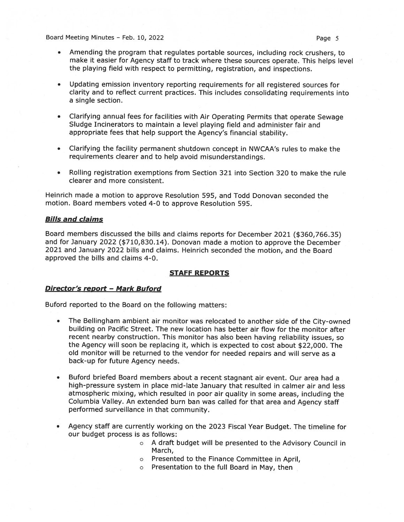- • Amending the program that regulates portable sources, including rock crushers, to make it easier for Agency staff to track where these sources operate. This helps level the <sup>p</sup>laying field with respec<sup>t</sup> to permitting, registration, and inspections.
- • Updating emission inventory reporting requirements for all registered sources for clarity and to reflect current practices. This includes consolidating requirements into <sup>a</sup> single section.
- • Clarifying annual fees for facilities with Air Operating Permits that operate Sewage Sludge Incinerators to maintain <sup>a</sup> level playing field and administer fair and appropriate fees that help suppor<sup>t</sup> the Agency's financial stability.
- • Clarifying the facility permanen<sup>t</sup> shutdown concep<sup>t</sup> in NWCAA's rules to make the requirements clearer and to help avoid misunderstandings.
- • Rolling registration exemptions from Section 321 into Section 320 to make the rule clearer and more consistent.

Heinrich made <sup>a</sup> motion to approve Resolution 595, and Todd Donovan seconded the motion. Board members voted 4-0 to approve Resolution 595.

#### Bills and claims

Board members discussed the bills and claims reports for December <sup>2021</sup> (\$360,766.35) and for January <sup>2022</sup> (\$710,830.14). Donovan made <sup>a</sup> motion to approve the December 2021 and January 2022 bills and claims. Heinrich seconded the motion, and the Board approved the bills and claims 4-0.

#### STAFF REPORTS

#### Director's report — Mark Buford

Buford reported to the Board on the following matters:

- • The Bellingham ambient air monitor was relocated to another side of the City-owned building on Pacific Street. The new location has better air flow for the monitor after recent nearby construction. This monitor has also been having reliability issues, so the Agency will soon be replacing it, which is expected to cost about \$22,000. The old monitor will be returned to the vendor for needed repairs and will serve as <sup>a</sup> back-up for future Agency needs.
- • Buford briefed Board members about <sup>a</sup> recent stagnant air event. Our area had <sup>a</sup> high-pressure system in place mid-late January that resulted in calmer air and less atmospheric mixing, which resulted in poor air quality in some areas, including the Columbia Valley. An extended burn ban was called for that area and Agency staff performed surveillance in that community.
- • Agency staff are currently working on the 2023 Fiscal Year Budget. The timeline for our budget process is as follows:
	- <sup>o</sup> A draft budget will be presented to the Advisory Council in March,
	- <sup>o</sup> Presented to the Finance Committee in April,
	- <sup>o</sup> Presentation to the full Board in May, then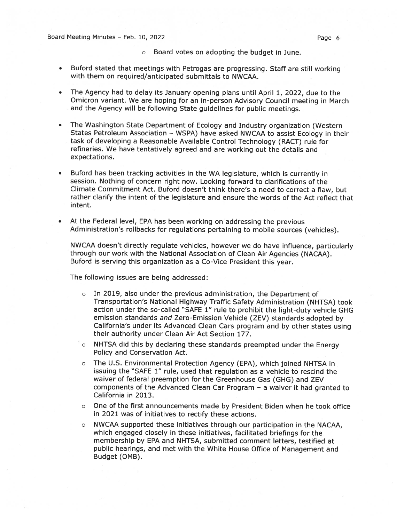- <sup>o</sup> Board votes on adopting the budget in June.
- Buford stated that meetings with Petrogas are progressing. Staff are still working with them on required/anticipated submittals to NWCAA.
- The Agency had to delay its January opening <sup>p</sup>lans until April 1, 2022, due to the Omicron variant. We are hoping for an in-person Advisory Council meeting in March and the Agency will be following State guidelines for public meetings.
- The Washington State Department of Ecology and Industry organization (Western States Petroleum Association — WSPA) have asked NWCAA to assist Ecology in their task of developing <sup>a</sup> Reasonable Available Control Technology (RACT) rule for refineries. We have tentatively agreed and are working out the details and expectations.
- Buford has been tracking activities in the WA legislature, which is currently in session. Nothing of concern right now. Looking forward to clarifications of the Climate Commitment Act. Buford doesn't think there's <sup>a</sup> need to correct <sup>a</sup> flaw, but rather clarify the intent of the legislature and ensure the words of the Act reflect that intent.
- • At the Federal level, EPA has been working on addressing the previous Administration's rollbacks for regulations pertaining to mobile sources (vehicles).

NWCAA doesn't directly regulate vehicles, however we do have influence, particularly through our work with the National Association of Clean Air Agencies (NACAA). Buford is serving this organization as <sup>a</sup> Co-Vice President this year.

The following issues are being addressed:

- <sup>o</sup> In 2019, also under the previous administration, the Department of Transportation's National Highway Traffic Safety Administration (NHTSA) took action under the so-called "SAFE 1" rule to prohibit the light-duty vehicle GHG emission standards and Zero-Emission Vehicle (ZEV) standards adopted by California's under its Advanced Clean Cars program and by other states using their authority under Clean Air Act Section 177.
- <sup>o</sup> NHTSA did this by declaring these standards preempted under the Energy Policy and Conservation Act.
- <sup>o</sup> The U.S. Environmental Protection Agency (EPA), which joined NHTSA in issuing the "SAFE 1" rule, used that regulation as <sup>a</sup> vehicle to rescind the waiver of federal preemption for the Greenhouse Gas (GHG) and ZEV components of the Advanced Clean Car Program — <sup>a</sup> waiver it had granted to California in 2013.
- <sup>o</sup> One of the first announcements made by President Biden when he took office in 2021 was of initiatives to rectify these actions.
- <sup>o</sup> NWCAA supported these initiatives through our participation in the NACAA, which engage<sup>d</sup> closely in these initiatives, facilitated briefings for the membership by EPA and NHTSA, submitted comment letters, testified at public hearings, and met with the White House Office of Management and Budget (0MB).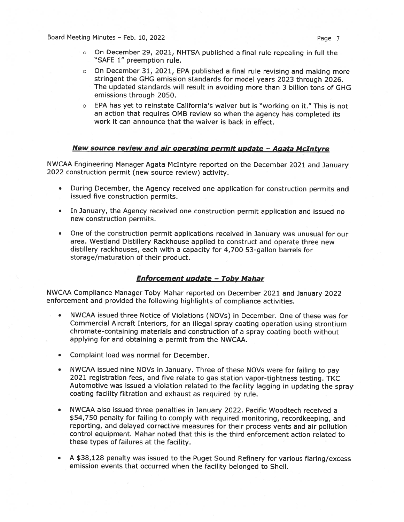- <sup>o</sup> On December 29, 2021, NHTSA published <sup>a</sup> final rule repealing in full the "SAFE 1" preemption rule.
- <sup>o</sup> On December 31, 2021, EPA published <sup>a</sup> final rule revising and making more stringent the GHG emission standards for model years <sup>2023</sup> through 2026. The updated standards will result in avoiding more than 3 billion tons of GHG emissions through 2050.
- EPA has yet to reinstate California's waiver but is "working on it." This is not an action that requires 0MB review so when the agency has completed its work it can announce that the waiver is back in effect.

# New source review and air operating permit update - Agata McIntyre

NWCAA Engineering Manager Agata McIntyre reported on the December <sup>2021</sup> and January 2022 construction permit (new source review) activity.

- • During December, the Agency received one application for construction permits and issued five construction permits.
- In January, the Agency received one construction permit application and issued no new construction permits.
- One of the construction permit applications received in January was unusual for our area. Westland Distillery Rackhouse applied to construct and operate three new distillery rackhouses, each with <sup>a</sup> capacity for 4,700 53-gallon barrels for storage/maturation of their product.

# Enforcement update - Toby Mahar

NWCAA Compliance Manager Toby Mahar reported on December <sup>2021</sup> and January <sup>2022</sup> enforcement and provided the following highlights of compliance activities.

- NWCAA issued three Notice of Violations (NOV5) in December. One of these was for Commercial Aircraft Interiors, for an illegal spray coating operation using strontium chromate-containing materials and construction of <sup>a</sup> spray coating booth without applying for and obtaining <sup>a</sup> permit from the NWCAA.
- •Complaint load was normal for December.
- • NWCAA issued nine NOVs in January. Three of these NOVs were for failing to pay <sup>2021</sup> registration fees, and five relate to gas station vapor-tightness testing. TKC Automotive was issued <sup>a</sup> violation related to the facility lagging in updating the spray coating facility filtration and exhaust as required by rule.
- • NWCAA also issued three penalties in January 2022. Pacific Woodtech received <sup>a</sup> \$54,750 penalty for failing to comply with required monitoring, recordkeeping, and reporting, and delayed corrective measures for their process vents and air pollution control equipment. Mahar noted that this is the third enforcement action related to these types of failures at the facility.
- • <sup>A</sup> \$38,128 penalty was issued to the Puget Sound Refinery for various flaring/excess emission events that occurred when the facility belonged to Shell.